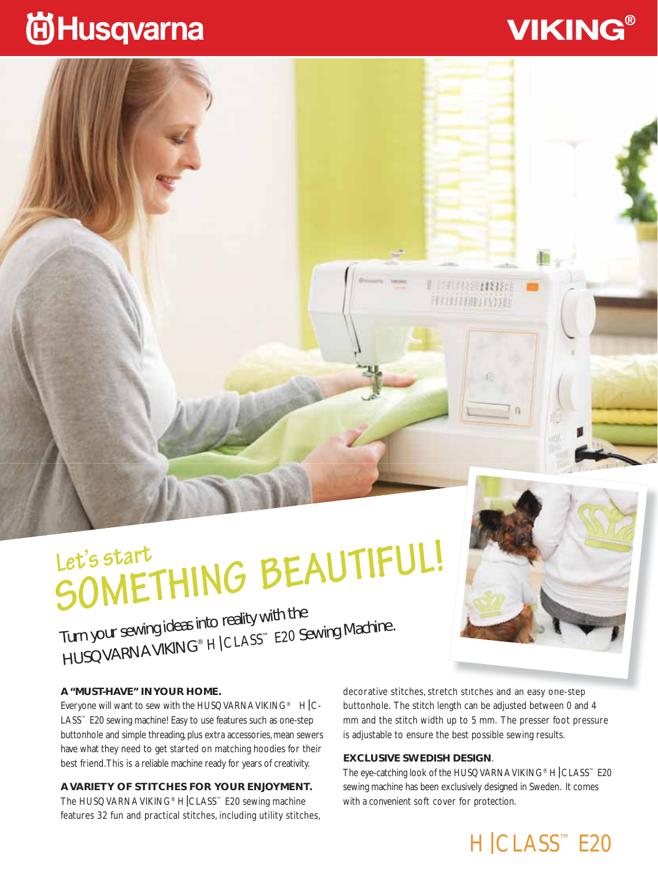## **尚Husqvarna**

# **SOMETHING BEAUTIFUL! Let's start**

Turn your sewing ideas into reality with the HUSQVARNA VIKING® H|CLASS™ E20 Sewing Machine.

#### **A "MUST-HAVE" IN YOUR HOME.**

Everyone will want to sew with the HUSQVARNA VIKING<sup>®</sup>  $H|C$ -LASS™ E20 sewing machine! Easy to use features such as one-step buttonhole and simple threading, plus extra accessories, mean sewers have what they need to get started on matching hoodies for their best friend. This is a reliable machine ready for years of creativity.

**A VARIETY OF STITCHES FOR YOUR ENJOYMENT.**

The HUSQVARNA VIKING® H CLASS™ E20 sewing machine features 32 fun and practical stitches, including utility stitches,

decorative stitches, stretch stitches and an easy one-step buttonhole. The stitch length can be adjusted between 0 and 4 mm and the stitch width up to 5 mm. The presser foot pressure is adjustable to ensure the best possible sewing results.

**ITERRE HING** 311000000000000

#### **EXCLUSIVE SWEDISH DESIGN**.

The eye-catching look of the HUSQVARNA VIKING® H CLASS™ E20 sewing machine has been exclusively designed in Sweden. It comes with a convenient soft cover for protection.